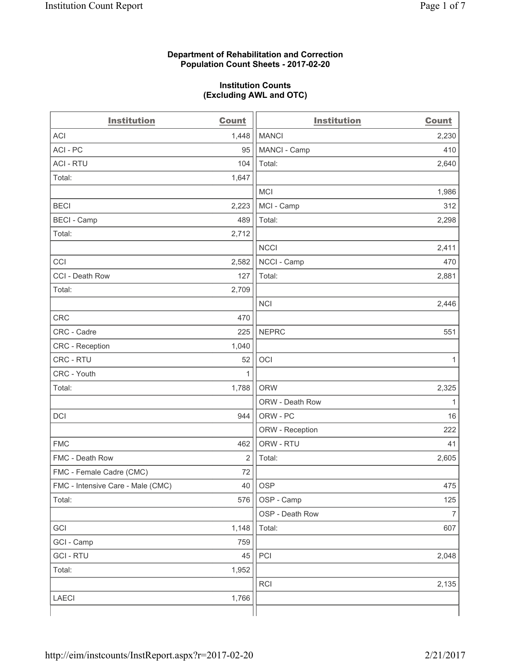#### **Department of Rehabilitation and Correction Population Count Sheets - 2017-02-20**

#### **Institution Counts (Excluding AWL and OTC)**

| <b>Institution</b>                | <b>Count</b> | <b>Institution</b> | <b>Count</b>   |
|-----------------------------------|--------------|--------------------|----------------|
| <b>ACI</b>                        | 1,448        | <b>MANCI</b>       | 2,230          |
| ACI-PC                            | 95           | MANCI - Camp       | 410            |
| <b>ACI - RTU</b>                  | 104          | Total:             | 2,640          |
| Total:                            | 1,647        |                    |                |
|                                   |              | <b>MCI</b>         | 1,986          |
| <b>BECI</b>                       | 2,223        | MCI - Camp         | 312            |
| <b>BECI</b> - Camp                | 489          | Total:             | 2,298          |
| Total:                            | 2,712        |                    |                |
|                                   |              | <b>NCCI</b>        | 2,411          |
| CCI                               | 2,582        | NCCI - Camp        | 470            |
| CCI - Death Row                   | 127          | Total:             | 2,881          |
| Total:                            | 2,709        |                    |                |
|                                   |              | <b>NCI</b>         | 2,446          |
| <b>CRC</b>                        | 470          |                    |                |
| CRC - Cadre                       | 225          | <b>NEPRC</b>       | 551            |
| CRC - Reception                   | 1,040        |                    |                |
| CRC - RTU                         | 52           | OCI                | 1              |
| CRC - Youth                       | 1            |                    |                |
| Total:                            | 1,788        | <b>ORW</b>         | 2,325          |
|                                   |              | ORW - Death Row    | 1              |
| DCI                               | 944          | ORW - PC           | 16             |
|                                   |              | ORW - Reception    | 222            |
| <b>FMC</b>                        | 462          | ORW - RTU          | 41             |
| FMC - Death Row                   | 2            | Total:             | 2,605          |
| FMC - Female Cadre (CMC)          | 72           |                    |                |
| FMC - Intensive Care - Male (CMC) | 40           | OSP                | 475            |
| Total:                            | 576          | OSP - Camp         | 125            |
|                                   |              | OSP - Death Row    | $\overline{7}$ |
| GCI                               | 1,148        | Total:             | 607            |
| GCI - Camp                        | 759          |                    |                |
| <b>GCI-RTU</b>                    | 45           | PCI                | 2,048          |
| Total:                            | 1,952        |                    |                |
|                                   |              | RCI                | 2,135          |
| <b>LAECI</b>                      | 1,766        |                    |                |
|                                   |              |                    |                |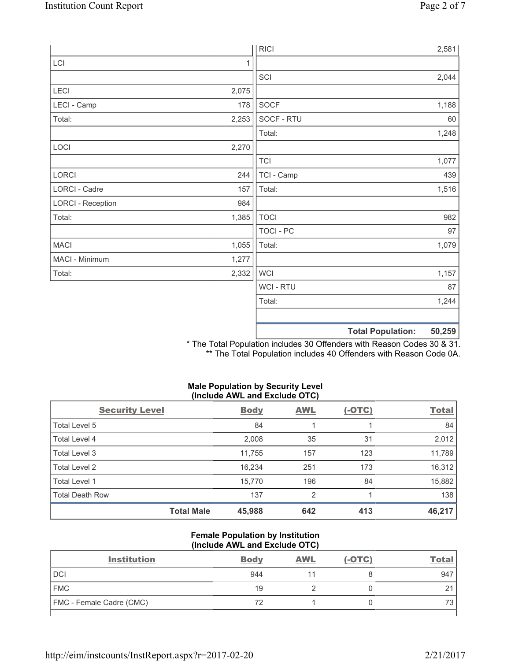|                          |       | <b>RICI</b>      | 2,581                              |
|--------------------------|-------|------------------|------------------------------------|
| LCI                      | 1     |                  |                                    |
|                          |       | SCI              | 2,044                              |
| LECI                     | 2,075 |                  |                                    |
| LECI - Camp              | 178   | SOCF             | 1,188                              |
| Total:                   | 2,253 | SOCF - RTU       | 60                                 |
|                          |       | Total:           | 1,248                              |
| LOCI                     | 2,270 |                  |                                    |
|                          |       | <b>TCI</b>       | 1,077                              |
| LORCI                    | 244   | TCI - Camp       | 439                                |
| LORCI - Cadre            | 157   | Total:           | 1,516                              |
| <b>LORCI - Reception</b> | 984   |                  |                                    |
| Total:                   | 1,385 | <b>TOCI</b>      | 982                                |
|                          |       | <b>TOCI - PC</b> | 97                                 |
| MACI                     | 1,055 | Total:           | 1,079                              |
| MACI - Minimum           | 1,277 |                  |                                    |
| Total:                   | 2,332 | <b>WCI</b>       | 1,157                              |
|                          |       | <b>WCI - RTU</b> | 87                                 |
|                          |       | Total:           | 1,244                              |
|                          |       |                  |                                    |
|                          |       |                  | 50,259<br><b>Total Population:</b> |

\* The Total Population includes 30 Offenders with Reason Codes 30 & 31. \*\* The Total Population includes 40 Offenders with Reason Code 0A.

# **Male Population by Security Level (Include AWL and Exclude OTC)**

| <b>Security Level</b>  |                   | <b>Body</b> | <b>AWL</b>     | $(-OTC)$ | <b>Total</b> |
|------------------------|-------------------|-------------|----------------|----------|--------------|
| Total Level 5          |                   | 84          |                |          | 84           |
| Total Level 4          |                   | 2,008       | 35             | 31       | 2,012        |
| Total Level 3          |                   | 11,755      | 157            | 123      | 11,789       |
| Total Level 2          |                   | 16,234      | 251            | 173      | 16,312       |
| Total Level 1          |                   | 15,770      | 196            | 84       | 15,882       |
| <b>Total Death Row</b> |                   | 137         | $\overline{2}$ |          | 138          |
|                        | <b>Total Male</b> | 45,988      | 642            | 413      | 46,217       |

#### **Female Population by Institution (Include AWL and Exclude OTC)**

| <b>Institution</b>              | <b>Body</b> | <b>AWL</b> | $(-OTC)$ | <u>Total</u> |
|---------------------------------|-------------|------------|----------|--------------|
| <b>DCI</b>                      | 944         |            |          | 947          |
| <b>FMC</b>                      | 19          |            |          | $\sim$<br>∼  |
| <b>FMC</b> - Female Cadre (CMC) | 72          |            |          |              |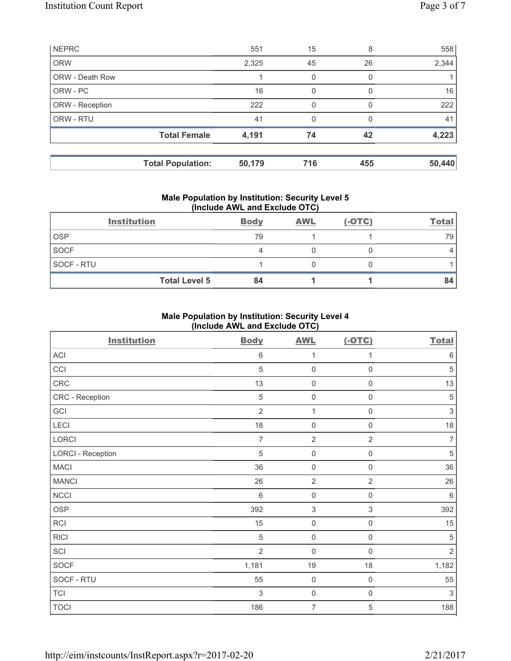| <b>NEPRC</b>           |                          | 551    | 15  | 8        | 558    |
|------------------------|--------------------------|--------|-----|----------|--------|
| <b>ORW</b>             |                          | 2,325  | 45  | 26       | 2,344  |
| <b>ORW - Death Row</b> |                          |        | 0   |          |        |
| ORW - PC               |                          | 16     | 0   | $\Omega$ | 16     |
| ORW - Reception        |                          | 222    | 0   |          | 222    |
| ORW - RTU              |                          | 41     | 0   |          | 41     |
|                        | <b>Total Female</b>      | 4,191  | 74  | 42       | 4,223  |
|                        |                          |        |     |          |        |
|                        | <b>Total Population:</b> | 50,179 | 716 | 455      | 50,440 |

## **Male Population by Institution: Security Level 5 (Include AWL and Exclude OTC)**

|            | <b>Institution</b>   | <b>Body</b> | <b>AWL</b> | $(-OTC)$ | <b>Total</b> |
|------------|----------------------|-------------|------------|----------|--------------|
| <b>OSP</b> |                      | 79          |            |          | 79           |
| SOCF       |                      |             |            |          |              |
| SOCF - RTU |                      |             |            |          |              |
|            | <b>Total Level 5</b> | 84          |            |          | 84           |

# **Male Population by Institution: Security Level 4 (Include AWL and Exclude OTC)**

| <b>Institution</b>       | <b>Body</b>    | <b>AWL</b>                | $(-OTC)$            | <b>Total</b>              |
|--------------------------|----------------|---------------------------|---------------------|---------------------------|
| ACI                      | $\,6\,$        | 1                         | 1                   | $\,6\,$                   |
| CCI                      | $\overline{5}$ | $\mathsf{O}\xspace$       | $\mathsf 0$         | $\sqrt{5}$                |
| CRC                      | 13             | $\mathsf{O}\xspace$       | $\mathsf{O}\xspace$ | 13                        |
| CRC - Reception          | $\sqrt{5}$     | $\mathsf{O}\xspace$       | $\mathsf{O}\xspace$ | $\sqrt{5}$                |
| GCI                      | $\overline{2}$ | 1                         | 0                   | $\ensuremath{\mathsf{3}}$ |
| LECI                     | 18             | $\mathbf 0$               | $\mathsf 0$         | 18                        |
| <b>LORCI</b>             | $\overline{7}$ | $\overline{2}$            | $\overline{2}$      | $\overline{7}$            |
| <b>LORCI - Reception</b> | $\sqrt{5}$     | $\mathsf{0}$              | $\mathbf 0$         | $\sqrt{5}$                |
| <b>MACI</b>              | 36             | $\mathsf 0$               | $\mathbf 0$         | 36                        |
| <b>MANCI</b>             | 26             | $\overline{2}$            | $\overline{2}$      | 26                        |
| <b>NCCI</b>              | $\,6\,$        | $\mathsf{O}\xspace$       | $\mathsf{O}\xspace$ | $\,6\,$                   |
| <b>OSP</b>               | 392            | $\ensuremath{\mathsf{3}}$ | 3                   | 392                       |
| <b>RCI</b>               | 15             | $\mathsf{O}\xspace$       | $\mathsf{O}\xspace$ | 15                        |
| <b>RICI</b>              | 5              | $\mathbf 0$               | $\mathbf 0$         | $\sqrt{5}$                |
| SCI                      | $\overline{2}$ | $\mathbf 0$               | $\mathsf 0$         | $\overline{2}$            |
| <b>SOCF</b>              | 1,181          | 19                        | 18                  | 1,182                     |
| SOCF - RTU               | 55             | $\mathbf 0$               | $\mathsf{O}\xspace$ | 55                        |
| <b>TCI</b>               | $\sqrt{3}$     | $\mathsf{O}\xspace$       | $\mathsf{O}\xspace$ | $\sqrt{3}$                |
| <b>TOCI</b>              | 186            | $\overline{7}$            | 5                   | 188                       |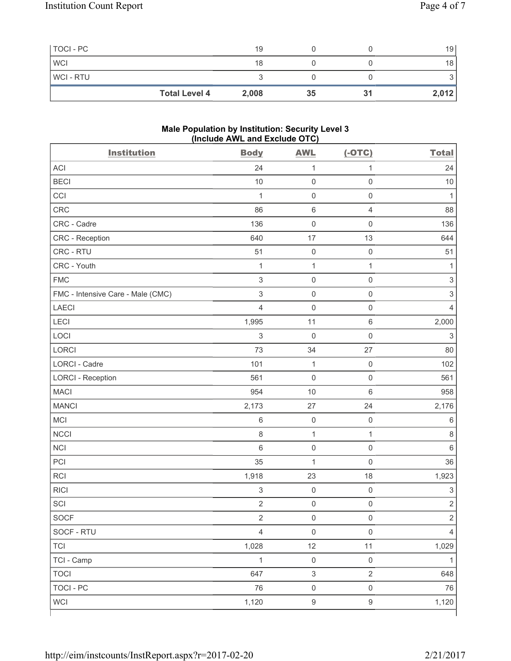| TOCI - PC      |                      | 19    |    |    | 19    |
|----------------|----------------------|-------|----|----|-------|
| <b>WCI</b>     |                      | 18    |    |    | 18 l  |
| <b>WCI-RTU</b> |                      |       |    |    |       |
|                | <b>Total Level 4</b> | 2,008 | 35 | 31 | 2,012 |

#### **Male Population by Institution: Security Level 3 (Include AWL and Exclude OTC)**

| <b>Institution</b>                | <b>Body</b>               | <b>AWL</b>                | $(-OTC)$            | <b>Total</b>              |
|-----------------------------------|---------------------------|---------------------------|---------------------|---------------------------|
| <b>ACI</b>                        | 24                        | $\mathbf{1}$              | $\mathbf{1}$        | 24                        |
| <b>BECI</b>                       | 10                        | $\mathsf{O}\xspace$       | $\mathsf 0$         | 10                        |
| CCI                               | $\mathbf{1}$              | $\mathsf{O}\xspace$       | $\mathsf 0$         | 1                         |
| CRC                               | 86                        | $\,6\,$                   | $\overline{4}$      | 88                        |
| CRC - Cadre                       | 136                       | $\mathsf{O}\xspace$       | $\mathbf 0$         | 136                       |
| CRC - Reception                   | 640                       | 17                        | 13                  | 644                       |
| CRC - RTU                         | 51                        | $\mathsf{O}\xspace$       | $\mathsf 0$         | 51                        |
| CRC - Youth                       | $\mathbf{1}$              | $\mathbf{1}$              | $\mathbf{1}$        | 1                         |
| <b>FMC</b>                        | 3                         | $\mathsf{O}\xspace$       | $\mathbf 0$         | $\ensuremath{\mathsf{3}}$ |
| FMC - Intensive Care - Male (CMC) | $\mathsf 3$               | $\mathsf{O}\xspace$       | $\mathsf 0$         | $\mathsf 3$               |
| <b>LAECI</b>                      | $\overline{4}$            | $\mathbf 0$               | $\mathsf 0$         | $\overline{4}$            |
| LECI                              | 1,995                     | 11                        | $\,6\,$             | 2,000                     |
| LOCI                              | $\ensuremath{\mathsf{3}}$ | $\mathbf 0$               | $\mathsf 0$         | $\ensuremath{\mathsf{3}}$ |
| LORCI                             | 73                        | 34                        | 27                  | 80                        |
| LORCI - Cadre                     | 101                       | $\mathbf 1$               | $\mathsf 0$         | 102                       |
| <b>LORCI - Reception</b>          | 561                       | $\mathbf 0$               | $\mathsf 0$         | 561                       |
| <b>MACI</b>                       | 954                       | 10                        | $\,6\,$             | 958                       |
| <b>MANCI</b>                      | 2,173                     | 27                        | 24                  | 2,176                     |
| MCI                               | 6                         | $\mathsf{O}\xspace$       | $\mathsf 0$         | 6                         |
| <b>NCCI</b>                       | 8                         | $\mathbf 1$               | $\mathbf{1}$        | $\,8\,$                   |
| <b>NCI</b>                        | 6                         | $\mathsf{O}\xspace$       | $\mathsf 0$         | 6                         |
| PCI                               | 35                        | $\mathbf 1$               | $\mathsf 0$         | 36                        |
| RCI                               | 1,918                     | 23                        | 18                  | 1,923                     |
| <b>RICI</b>                       | $\ensuremath{\mathsf{3}}$ | $\mathsf{O}\xspace$       | $\mathsf 0$         | $\ensuremath{\mathsf{3}}$ |
| SCI                               | $\overline{2}$            | $\mathsf{O}\xspace$       | $\mathbf 0$         | $\mathbf 2$               |
| SOCF                              | $\overline{c}$            | $\mathsf{O}\xspace$       | $\mathsf{O}\xspace$ | $\overline{2}$            |
| SOCF - RTU                        | $\overline{4}$            | $\mathsf{O}\xspace$       | $\mathsf 0$         | $\overline{4}$            |
| <b>TCI</b>                        | 1,028                     | 12                        | 11                  | 1,029                     |
| TCI - Camp                        | $\mathbf{1}$              | $\mathsf 0$               | $\mathsf 0$         | $\mathbf{1}$              |
| <b>TOCI</b>                       | 647                       | $\ensuremath{\mathsf{3}}$ | $\sqrt{2}$          | 648                       |
| <b>TOCI - PC</b>                  | 76                        | $\mathsf{O}\xspace$       | $\mathsf 0$         | 76                        |
| <b>WCI</b>                        | 1,120                     | $\boldsymbol{9}$          | $\boldsymbol{9}$    | 1,120                     |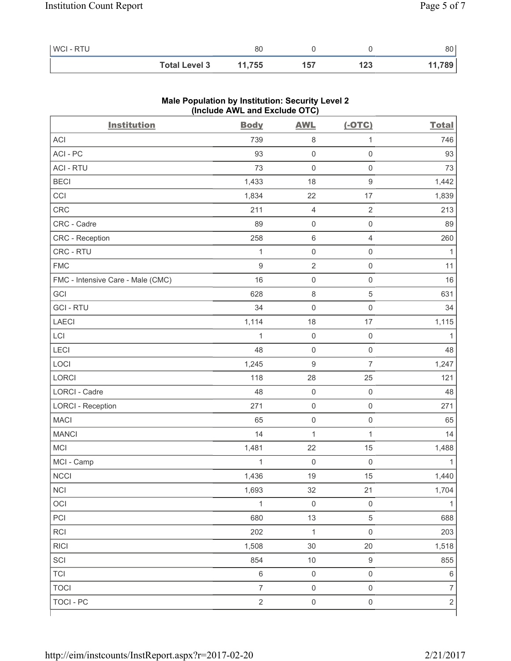| WCI - RTU |                      | 80     |     |     | 80 l   |
|-----------|----------------------|--------|-----|-----|--------|
|           | <b>Total Level 3</b> | 11,755 | 157 | 123 | 11,789 |

| <b>Institution</b>                | <b>Body</b>      | <b>AWL</b>          | $(-OTC)$            | <b>Total</b>   |
|-----------------------------------|------------------|---------------------|---------------------|----------------|
| ACI                               | 739              | 8                   | 1                   | 746            |
| ACI-PC                            | 93               | $\mathsf 0$         | $\mathsf{O}\xspace$ | 93             |
| <b>ACI - RTU</b>                  | 73               | $\mathsf{O}\xspace$ | $\mathsf{O}\xspace$ | 73             |
| <b>BECI</b>                       | 1,433            | 18                  | $\mathsf g$         | 1,442          |
| CCI                               | 1,834            | 22                  | 17                  | 1,839          |
| <b>CRC</b>                        | 211              | 4                   | $\sqrt{2}$          | 213            |
| CRC - Cadre                       | 89               | $\mathsf{O}\xspace$ | $\mathsf 0$         | 89             |
| CRC - Reception                   | 258              | $\,6$               | $\overline{4}$      | 260            |
| CRC - RTU                         | 1                | $\mathsf{O}\xspace$ | $\mathsf 0$         | $\mathbf{1}$   |
| <b>FMC</b>                        | $\boldsymbol{9}$ | $\overline{2}$      | $\mathsf 0$         | 11             |
| FMC - Intensive Care - Male (CMC) | 16               | $\mathsf{O}\xspace$ | $\mathsf{O}\xspace$ | 16             |
| GCI                               | 628              | 8                   | 5                   | 631            |
| <b>GCI-RTU</b>                    | 34               | $\mathsf{O}\xspace$ | $\mathsf{O}\xspace$ | 34             |
| <b>LAECI</b>                      | 1,114            | 18                  | 17                  | 1,115          |
| LCI                               | 1                | $\mathsf{O}\xspace$ | $\mathsf 0$         | $\mathbf{1}$   |
| LECI                              | 48               | $\mathsf{O}\xspace$ | $\mathsf 0$         | 48             |
| LOCI                              | 1,245            | $\hbox{9}$          | $\overline{7}$      | 1,247          |
| LORCI                             | 118              | 28                  | 25                  | 121            |
| LORCI - Cadre                     | 48               | $\mathsf{O}\xspace$ | $\mathsf 0$         | 48             |
| <b>LORCI - Reception</b>          | 271              | $\mathsf{O}\xspace$ | $\mathsf 0$         | 271            |
| <b>MACI</b>                       | 65               | $\mathsf{O}\xspace$ | $\mathsf 0$         | 65             |
| <b>MANCI</b>                      | 14               | $\mathbf 1$         | $\mathbf{1}$        | 14             |
| MCI                               | 1,481            | 22                  | 15                  | 1,488          |
| MCI - Camp                        | 1                | $\mathbf 0$         | $\mathsf 0$         | 1              |
| <b>NCCI</b>                       | 1,436            | 19                  | 15                  | 1,440          |
| NCI                               | 1,693            | 32                  | 21                  | 1,704          |
| OCI                               | $\mathbf{1}$     | $\mathsf{O}\xspace$ | $\mathsf 0$         | 1              |
| PCI                               | 680              | 13                  | $\sqrt{5}$          | 688            |
| RCI                               | 202              | $\mathbf 1$         | $\mathsf 0$         | 203            |
| <b>RICI</b>                       | 1,508            | 30                  | 20                  | 1,518          |
| SCI                               | 854              | $10$                | $\boldsymbol{9}$    | 855            |
| <b>TCI</b>                        | $\,6\,$          | $\mathsf{O}\xspace$ | $\mathsf{O}\xspace$ | $\,6\,$        |
| <b>TOCI</b>                       | $\overline{7}$   | $\mathsf 0$         | $\mathsf 0$         | $\overline{7}$ |
| <b>TOCI - PC</b>                  | $\sqrt{2}$       | $\mathsf{O}\xspace$ | $\mathsf 0$         | $\overline{2}$ |
|                                   |                  |                     |                     |                |

# **Male Population by Institution: Security Level 2 (Include AWL and Exclude OTC)**

٦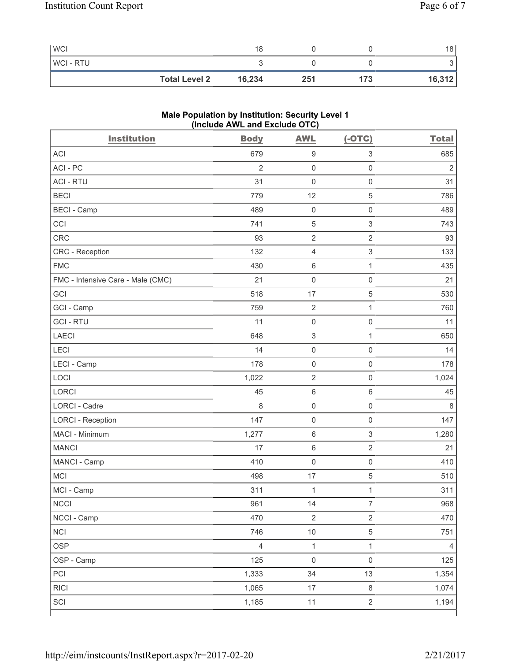| <b>WCI</b>     | 18                             |     |     | 18     |
|----------------|--------------------------------|-----|-----|--------|
| <b>WCI-RTU</b> |                                |     |     | ັ      |
|                | 16,234<br><b>Total Level 2</b> | 251 | 173 | 16,312 |

# **Male Population by Institution: Security Level 1 (Include AWL and Exclude OTC)**

| <b>Institution</b>                | <b>Body</b>    | <b>AWL</b>                | $(-OTC)$                  | <b>Total</b>   |
|-----------------------------------|----------------|---------------------------|---------------------------|----------------|
| <b>ACI</b>                        | 679            | $\boldsymbol{9}$          | $\ensuremath{\mathsf{3}}$ | 685            |
| ACI-PC                            | $\overline{2}$ | $\mathsf{O}\xspace$       | $\mathsf{O}\xspace$       | $\overline{2}$ |
| <b>ACI - RTU</b>                  | 31             | $\mathbf 0$               | $\mathsf{O}\xspace$       | 31             |
| <b>BECI</b>                       | 779            | 12                        | 5                         | 786            |
| <b>BECI - Camp</b>                | 489            | $\mathsf 0$               | $\mathsf 0$               | 489            |
| CCI                               | 741            | $\mathbf 5$               | $\mathsf 3$               | 743            |
| <b>CRC</b>                        | 93             | $\overline{2}$            | $\sqrt{2}$                | 93             |
| CRC - Reception                   | 132            | $\overline{4}$            | $\ensuremath{\mathsf{3}}$ | 133            |
| <b>FMC</b>                        | 430            | $\,6\,$                   | $\mathbf{1}$              | 435            |
| FMC - Intensive Care - Male (CMC) | 21             | $\mathsf 0$               | $\mathsf{O}\xspace$       | 21             |
| GCI                               | 518            | 17                        | 5                         | 530            |
| GCI - Camp                        | 759            | $\sqrt{2}$                | 1                         | 760            |
| <b>GCI-RTU</b>                    | 11             | $\mathsf 0$               | $\mathbf 0$               | 11             |
| <b>LAECI</b>                      | 648            | $\ensuremath{\mathsf{3}}$ | 1                         | 650            |
| LECI                              | 14             | $\mathsf 0$               | $\mathsf{O}\xspace$       | 14             |
| LECI - Camp                       | 178            | $\mathsf 0$               | $\mathsf{O}\xspace$       | 178            |
| LOCI                              | 1,022          | $\sqrt{2}$                | $\mathbf 0$               | 1,024          |
| <b>LORCI</b>                      | 45             | $\,6\,$                   | $\,6\,$                   | 45             |
| <b>LORCI - Cadre</b>              | 8              | $\mathsf 0$               | $\mathsf{O}\xspace$       | 8              |
| <b>LORCI - Reception</b>          | 147            | $\mathsf{O}\xspace$       | $\mathbf 0$               | 147            |
| MACI - Minimum                    | 1,277          | $\,6\,$                   | $\ensuremath{\mathsf{3}}$ | 1,280          |
| <b>MANCI</b>                      | 17             | $\,6\,$                   | $\sqrt{2}$                | 21             |
| MANCI - Camp                      | 410            | $\mathsf{O}\xspace$       | $\mathsf 0$               | 410            |
| <b>MCI</b>                        | 498            | 17                        | $\,$ 5 $\,$               | 510            |
| MCI - Camp                        | 311            | $\mathbf{1}$              | $\mathbf 1$               | 311            |
| $\sf NCCI$                        | 961            | 14                        | $\overline{7}$            | 968            |
| NCCI - Camp                       | 470            | $\overline{2}$            | $\overline{2}$            | 470            |
| <b>NCI</b>                        | 746            | $10$                      | $\sqrt{5}$                | 751            |
| <b>OSP</b>                        | $\overline{4}$ | $\mathbf{1}$              | $\mathbf{1}$              | $\overline{4}$ |
| OSP - Camp                        | 125            | $\mathsf 0$               | $\mathbf 0$               | 125            |
| PCI                               | 1,333          | 34                        | 13                        | 1,354          |
| RICI                              | 1,065          | 17                        | $\,8\,$                   | 1,074          |
| SCI                               | 1,185          | 11                        | $\overline{2}$            | 1,194          |